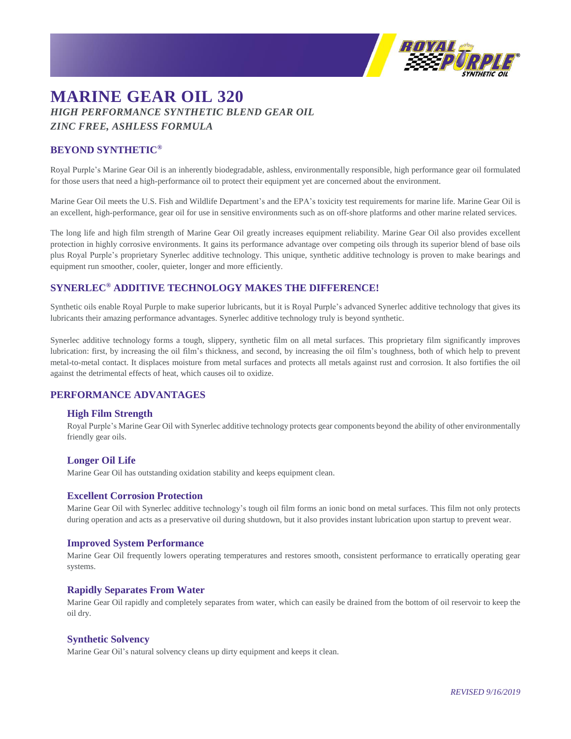

# **MARINE GEAR OIL 320** *HIGH PERFORMANCE SYNTHETIC BLEND GEAR OIL ZINC FREE, ASHLESS FORMULA*

# **BEYOND SYNTHETIC®**

Royal Purple's Marine Gear Oil is an inherently biodegradable, ashless, environmentally responsible, high performance gear oil formulated for those users that need a high-performance oil to protect their equipment yet are concerned about the environment.

Marine Gear Oil meets the U.S. Fish and Wildlife Department's and the EPA's toxicity test requirements for marine life. Marine Gear Oil is an excellent, high-performance, gear oil for use in sensitive environments such as on off-shore platforms and other marine related services.

The long life and high film strength of Marine Gear Oil greatly increases equipment reliability. Marine Gear Oil also provides excellent protection in highly corrosive environments. It gains its performance advantage over competing oils through its superior blend of base oils plus Royal Purple's proprietary Synerlec additive technology. This unique, synthetic additive technology is proven to make bearings and equipment run smoother, cooler, quieter, longer and more efficiently.

# **SYNERLEC® ADDITIVE TECHNOLOGY MAKES THE DIFFERENCE!**

Synthetic oils enable Royal Purple to make superior lubricants, but it is Royal Purple's advanced Synerlec additive technology that gives its lubricants their amazing performance advantages. Synerlec additive technology truly is beyond synthetic.

Synerlec additive technology forms a tough, slippery, synthetic film on all metal surfaces. This proprietary film significantly improves lubrication: first, by increasing the oil film's thickness, and second, by increasing the oil film's toughness, both of which help to prevent metal-to-metal contact. It displaces moisture from metal surfaces and protects all metals against rust and corrosion. It also fortifies the oil against the detrimental effects of heat, which causes oil to oxidize.

# **PERFORMANCE ADVANTAGES**

#### **High Film Strength**

Royal Purple's Marine Gear Oil with Synerlec additive technology protects gear components beyond the ability of other environmentally friendly gear oils.

#### **Longer Oil Life**

Marine Gear Oil has outstanding oxidation stability and keeps equipment clean.

#### **Excellent Corrosion Protection**

Marine Gear Oil with Synerlec additive technology's tough oil film forms an ionic bond on metal surfaces. This film not only protects during operation and acts as a preservative oil during shutdown, but it also provides instant lubrication upon startup to prevent wear.

#### **Improved System Performance**

Marine Gear Oil frequently lowers operating temperatures and restores smooth, consistent performance to erratically operating gear systems.

#### **Rapidly Separates From Water**

Marine Gear Oil rapidly and completely separates from water, which can easily be drained from the bottom of oil reservoir to keep the oil dry.

#### **Synthetic Solvency**

Marine Gear Oil's natural solvency cleans up dirty equipment and keeps it clean.